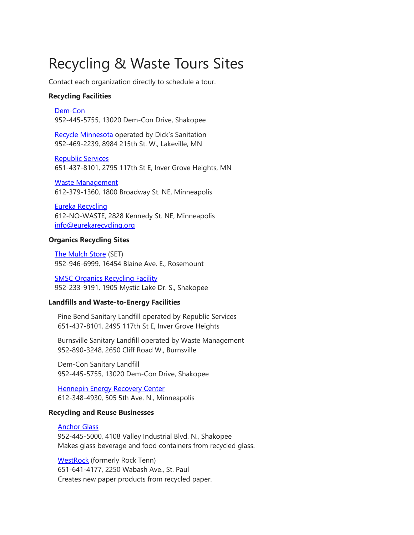# Recycling & Waste Tours Sites

Contact each organization directly to schedule a tour.

#### **Recycling Facilities**

[Dem-Con](http://dem-con.com/green-grades/) 952-445-5755, 13020 Dem-Con Drive, Shakopee

[Recycle Minnesota](http://www.dickssanitation.com/about-us/recycle-mn.html) operated by Dick's Sanitation 952-469-2239, 8984 215th St. W., Lakeville, MN

[Republic Services](https://www.republicservices.com/businesses/all-in-one-recycling) 651-437-8101, 2795 117th St E, Inver Grove Heights, MN

[Waste Management](https://www.wm.com/index.jsp) 612-379-1360, 1800 Broadway St. NE, Minneapolis

[Eureka Recycling](https://www.eurekarecycling.org/) 612-NO-WASTE, 2828 Kennedy St. NE, Minneapolis [info@eurekarecycling.org](mailto:info@eurekarecycling.org)

#### **Organics Recycling Sites**

[The Mulch Store](http://www.mulchstoremn.com/) (SET) 952-946-6999, 16454 Blaine Ave. E., Rosemount

[SMSC Organics Recycling Facility](http://www.smscorf.com/) 952-233-9191, 1905 Mystic Lake Dr. S., Shakopee

#### **Landfills and Waste-to-Energy Facilities**

Pine Bend Sanitary Landfill operated by Republic Services 651-437-8101, 2495 117th St E, Inver Grove Heights

Burnsville Sanitary Landfill operated by Waste Management 952-890-3248, 2650 Cliff Road W., Burnsville

Dem-Con Sanitary Landfill 952-445-5755, 13020 Dem-Con Drive, Shakopee

[Hennepin Energy Recovery Center](http://www.hennepin.us/your-government/facilities/hennepin-energy-recovery-center) 612-348-4930, 505 5th Ave. N., Minneapolis

#### **Recycling and Reuse Businesses**

[Anchor Glass](http://www.anchorglass.com/) 952-445-5000, 4108 Valley Industrial Blvd. N., Shakopee Makes glass beverage and food containers from recycled glass.

[WestRock](https://www.westrock.com/en) (formerly Rock Tenn) 651-641-4177, 2250 Wabash Ave., St. Paul Creates new paper products from recycled paper.